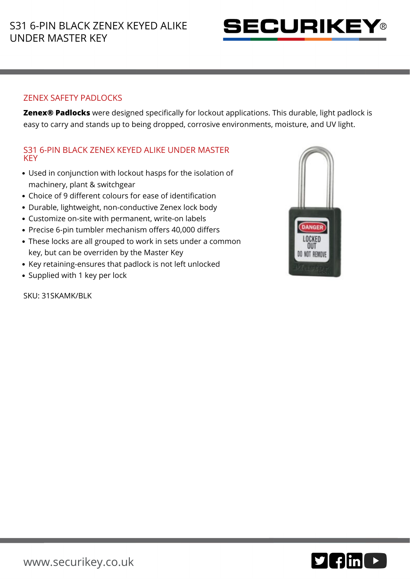

## ZENEX SAFETY PADLOCKS

**Zenex® Padlocks** were designed specifically for lockout applications. This durable, light padlock is easy to carry and stands up to being dropped, corrosive environments, moisture, and UV light.

## S31 6-PIN BLACK ZENEX KEYED ALIKE UNDER MASTER **KEY**

- Used in conjunction with lockout hasps for the isolation of machinery, plant & switchgear
- Choice of 9 different colours for ease of identification
- Durable, lightweight, non-conductive Zenex lock body
- Customize on-site with permanent, write-on labels
- Precise 6-pin tumbler mechanism offers 40,000 differs
- These locks are all grouped to work in sets under a common key, but can be overriden by the Master Key
- Key retaining-ensures that padlock is not left unlocked
- Supplied with 1 key per lock

SKU: 31SKAMK/BLK



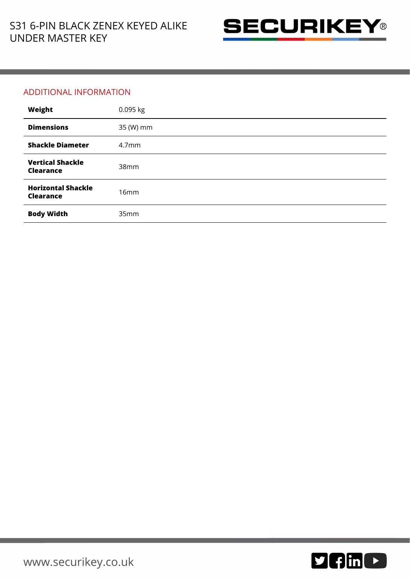

## ADDITIONAL INFORMATION

| Weight                                        | 0.095 kg          |
|-----------------------------------------------|-------------------|
| <b>Dimensions</b>                             | 35 (W) mm         |
| <b>Shackle Diameter</b>                       | 4.7 <sub>mm</sub> |
| <b>Vertical Shackle</b><br><b>Clearance</b>   | 38mm              |
| <b>Horizontal Shackle</b><br><b>Clearance</b> | 16mm              |
| <b>Body Width</b>                             | 35mm              |

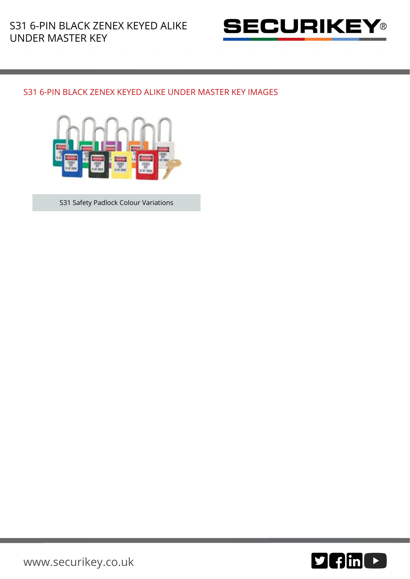

## S31 6-PIN BLACK ZENEX KEYED ALIKE UNDER MASTER KEY IMAGES



S31 Safety Padlock Colour Variations